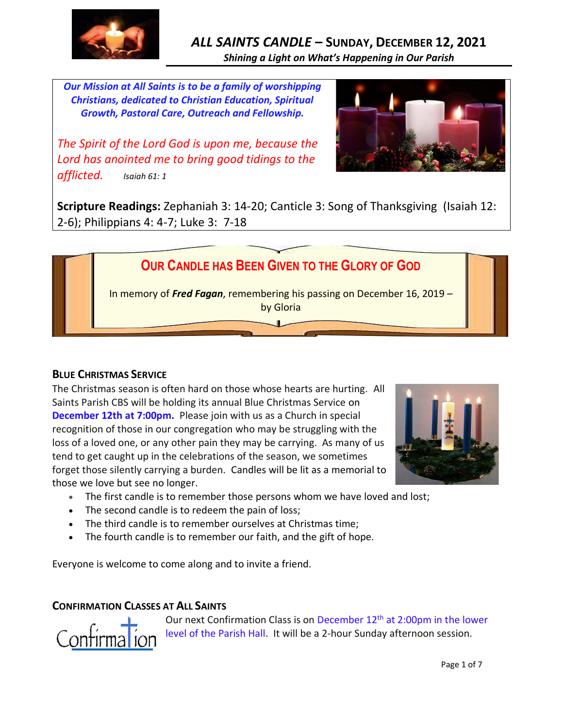

# *ALL SAINTS CANDLE* **– SUNDAY, DECEMBER 12, 2021** *Shining a Light on What's Happening in Our Parish*

*Our Mission at All Saints is to be a family of worshipping Christians, dedicated to Christian Education, Spiritual Growth, Pastoral Care, Outreach and Fellowship.*

*The Spirit of the Lord God is upon me, because the Lord has anointed me to bring good tidings to the afflicted. Isaiah 61: 1*



**Scripture Readings:** Zephaniah 3: 14-20; Canticle 3: Song of Thanksgiving (Isaiah 12: 2-6); Philippians 4: 4-7; Luke 3: 7-18



### **BLUE CHRISTMAS SERVICE**

The Christmas season is often hard on those whose hearts are hurting. All Saints Parish CBS will be holding its annual Blue Christmas Service on **December 12th at 7:00pm.** Please join with us as a Church in special recognition of those in our congregation who may be struggling with the loss of a loved one, or any other pain they may be carrying. As many of us tend to get caught up in the celebrations of the season, we sometimes forget those silently carrying a burden. Candles will be lit as a memorial to those we love but see no longer.



- The first candle is to remember those persons whom we have loved and lost;
- The second candle is to redeem the pain of loss;
- The third candle is to remember ourselves at Christmas time;
- The fourth candle is to remember our faith, and the gift of hope.

Everyone is welcome to come along and to invite a friend.

### **CONFIRMATION CLASSES AT ALL SAINTS**



Our next Confirmation Class is on December 12<sup>th</sup> at 2:00pm in the lower level of the Parish Hall. It will be a 2-hour Sunday afternoon session.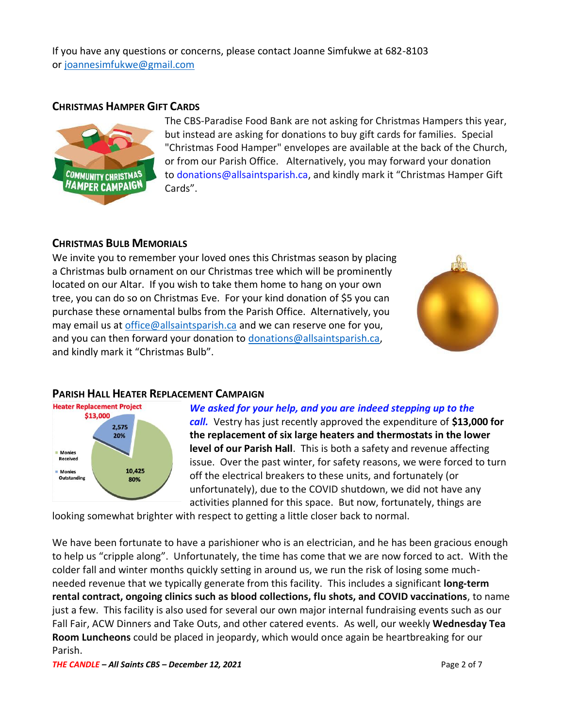If you have any questions or concerns, please contact Joanne Simfukwe at 682-8103 or [joannesimfukwe@gmail.com](mailto:joannesimfukwe@gmail.com)

#### **CHRISTMAS HAMPER GIFT CARDS**



The CBS-Paradise Food Bank are not asking for Christmas Hampers this year, but instead are asking for donations to buy gift cards for families. Special "Christmas Food Hamper" envelopes are available at the back of the Church, or from our Parish Office. Alternatively, you may forward your donation to [donations@allsaintsparish.ca](mailto:donations@allsaintsparish.ca), and kindly mark it "Christmas Hamper Gift Cards".

#### **CHRISTMAS BULB MEMORIALS**

We invite you to remember your loved ones this Christmas season by placing a Christmas bulb ornament on our Christmas tree which will be prominently located on our Altar. If you wish to take them home to hang on your own tree, you can do so on Christmas Eve. For your kind donation of \$5 you can purchase these ornamental bulbs from the Parish Office. Alternatively, you may email us at [office@allsaintsparish.ca](mailto:office@allsaintsparish.ca) and we can reserve one for you, and you can then forward your donation to [donations@allsaintsparish.ca,](mailto:donations@allsaintsparish.ca) and kindly mark it "Christmas Bulb".



### **PARISH HALL HEATER REPLACEMENT CAMPAIGN**



#### *We asked for your help, and you are indeed stepping up to the*

*call.* Vestry has just recently approved the expenditure of **\$13,000 for the replacement of six large heaters and thermostats in the lower level of our Parish Hall**. This is both a safety and revenue affecting issue. Over the past winter, for safety reasons, we were forced to turn off the electrical breakers to these units, and fortunately (or unfortunately), due to the COVID shutdown, we did not have any activities planned for this space. But now, fortunately, things are

looking somewhat brighter with respect to getting a little closer back to normal.

We have been fortunate to have a parishioner who is an electrician, and he has been gracious enough to help us "cripple along". Unfortunately, the time has come that we are now forced to act. With the colder fall and winter months quickly setting in around us, we run the risk of losing some muchneeded revenue that we typically generate from this facility. This includes a significant **long-term rental contract, ongoing clinics such as blood collections, flu shots, and COVID vaccinations**, to name just a few. This facility is also used for several our own major internal fundraising events such as our Fall Fair, ACW Dinners and Take Outs, and other catered events. As well, our weekly **Wednesday Tea Room Luncheons** could be placed in jeopardy, which would once again be heartbreaking for our Parish.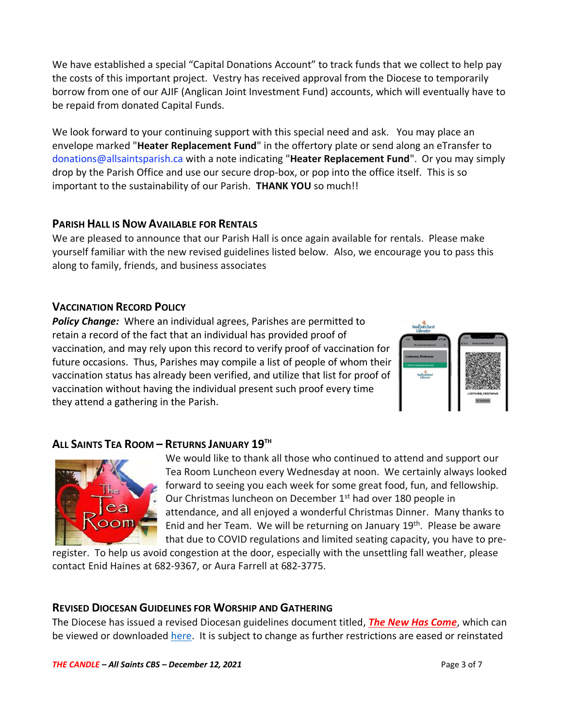We have established a special "Capital Donations Account" to track funds that we collect to help pay the costs of this important project. Vestry has received approval from the Diocese to temporarily borrow from one of our AJIF (Anglican Joint Investment Fund) accounts, which will eventually have to be repaid from donated Capital Funds.

We look forward to your continuing support with this special need and ask. You may place an envelope marked "**Heater Replacement Fund**" in the offertory plate or send along an eTransfer to donations@allsaintsparish.ca with a note indicating "**Heater Replacement Fund**". Or you may simply drop by the Parish Office and use our secure drop-box, or pop into the office itself. This is so important to the sustainability of our Parish. **THANK YOU** so much!!

### **PARISH HALL IS NOW AVAILABLE FOR RENTALS**

We are pleased to announce that our Parish Hall is once again available for rentals. Please make yourself familiar with the new revised guidelines listed below. Also, we encourage you to pass this along to family, friends, and business associates

## **VACCINATION RECORD POLICY**

*Policy Change:* Where an individual agrees, Parishes are permitted to retain a record of the fact that an individual has provided proof of vaccination, and may rely upon this record to verify proof of vaccination for future occasions. Thus, Parishes may compile a list of people of whom their vaccination status has already been verified, and utilize that list for proof of vaccination without having the individual present such proof every time they attend a gathering in the Parish.



## **ALL SAINTS TEA ROOM – RETURNS JANUARY 19TH**



We would like to thank all those who continued to attend and support our Tea Room Luncheon every Wednesday at noon. We certainly always looked forward to seeing you each week for some great food, fun, and fellowship. Our Christmas luncheon on December 1<sup>st</sup> had over 180 people in attendance, and all enjoyed a wonderful Christmas Dinner. Many thanks to Enid and her Team. We will be returning on January 19<sup>th</sup>. Please be aware that due to COVID regulations and limited seating capacity, you have to pre-

register. To help us avoid congestion at the door, especially with the unsettling fall weather, please contact Enid Haines at 682-9367, or Aura Farrell at 682-3775.

### **REVISED DIOCESAN GUIDELINES FOR WORSHIP AND GATHERING**

The Diocese has issued a revised Diocesan guidelines document titled, *[The New Has Come](https://anglicanenl.net/home/wp-content/uploads/2021/08/The-New-Has-Come-August-10-2021.pdf?fbclid=IwAR2_9nhbxB2LEc3XOqAP_nvoRu4G5Mt6NWIYwOEYNI0OtUl0atv2QwCfCY0)*, which can be viewed or downloaded [here.](https://anglicanenl.net/home/wp-content/uploads/2021/11/The-New-Has-Come-15-Nov-2021.pdf) It is subject to change as further restrictions are eased or reinstated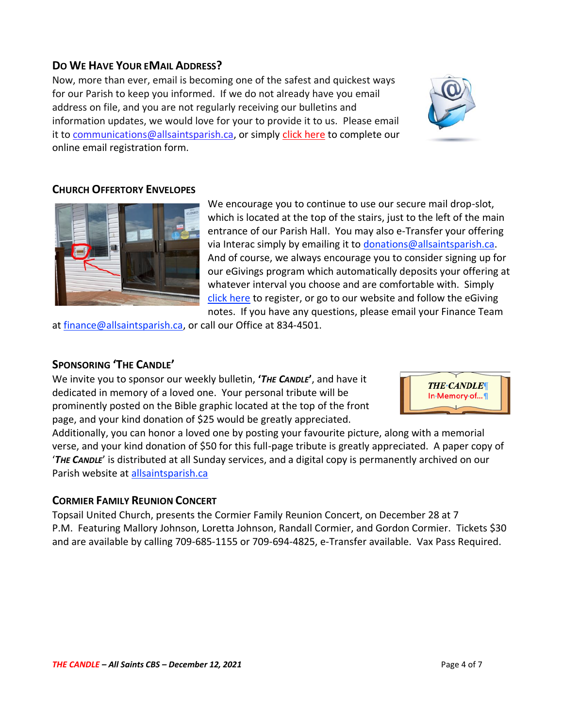### **DO WE HAVE YOUR EMAIL ADDRESS?**

Now, more than ever, email is becoming one of the safest and quickest ways for our Parish to keep you informed. If we do not already have you email address on file, and you are not regularly receiving our bulletins and information updates, we would love for your to provide it to us. Please email it to [communications@allsaintsparish.ca,](mailto:communications@allsaintsparish.ca?subject=eMail%20Address%20Update) or simply [click here](http://allsaintsparish.ca/email_updates) to complete our online email registration form.



### **CHURCH OFFERTORY ENVELOPES**



We encourage you to continue to use our secure mail drop-slot, which is located at the top of the stairs, just to the left of the main entrance of our Parish Hall. You may also e-Transfer your offering via Interac simply by emailing it to [donations@allsaintsparish.ca.](mailto:donations@allsaintsparish.ca) And of course, we always encourage you to consider signing up for our eGivings program which automatically deposits your offering at whatever interval you choose and are comfortable with. Simply [click here](http://allsaintsparish.ca/egiving-online-information-form) to register, or go to our website and follow the eGiving notes. If you have [any](https://wfsites-to.websitecreatorprotool.com/870a5dd5.com/Admin/%7BSK_NODEID__22939341__SK%7D) questions, please email your Finance Team

at [finance@allsaintsparish.ca,](mailto:finance@allsaintsparish.ca) or call our Office at 834-4501.

#### **SPONSORING 'THE CANDLE'**

We invite you to sponsor our weekly bulletin, **'***THE CANDLE***'**, and have it dedicated in memory of a loved one. Your personal tribute will be prominently posted on the Bible graphic located at the top of the front page, and your kind donation of \$25 would be greatly appreciated.



Additionally, you can honor a loved one by posting your favourite picture, along with a memorial verse, and your kind donation of \$50 for this full-page tribute is greatly appreciated. A paper copy of '*THE CANDLE*' is distributed at all Sunday services, and a digital copy is permanently archived on our Parish website at [allsaintsparish.ca](http://allsaintsparish.ca/thecandle.html)

#### **CORMIER FAMILY REUNION CONCERT**

Topsail United Church, presents the Cormier Family Reunion Concert, on December 28 at 7 P.M. Featuring Mallory Johnson, Loretta Johnson, Randall Cormier, and Gordon Cormier. Tickets \$30 and are available by calling 709-685-1155 or 709-694-4825, e-Transfer available. Vax Pass Required.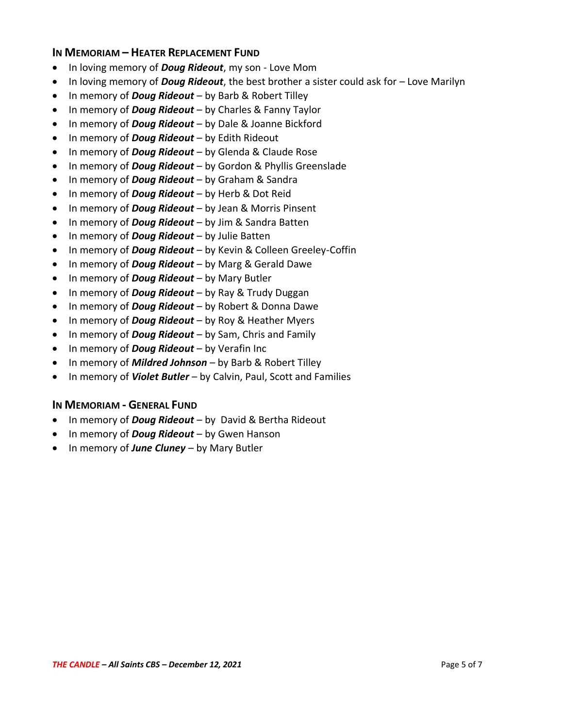#### **IN MEMORIAM – HEATER REPLACEMENT FUND**

- In loving memory of *Doug Rideout*, my son Love Mom
- In loving memory of *Doug Rideout*, the best brother a sister could ask for Love Marilyn
- In memory of *Doug Rideout* by Barb & Robert Tilley
- In memory of *Doug Rideout* by Charles & Fanny Taylor
- In memory of *Doug Rideout* by Dale & Joanne Bickford
- In memory of *Doug Rideout* by Edith Rideout
- In memory of *Doug Rideout* by Glenda & Claude Rose
- In memory of *Doug Rideout* by Gordon & Phyllis Greenslade
- In memory of *Doug Rideout* by Graham & Sandra
- In memory of *Doug Rideout* by Herb & Dot Reid
- In memory of *Doug Rideout* by Jean & Morris Pinsent
- In memory of *Doug Rideout* by Jim & Sandra Batten
- In memory of *Doug Rideout* by Julie Batten
- In memory of *Doug Rideout* by Kevin & Colleen Greeley-Coffin
- In memory of *Doug Rideout* by Marg & Gerald Dawe
- In memory of *Doug Rideout* by Mary Butler
- In memory of *Doug Rideout* by Ray & Trudy Duggan
- In memory of *Doug Rideout* by Robert & Donna Dawe
- In memory of *Doug Rideout* by Roy & Heather Myers
- In memory of *Doug Rideout* by Sam, Chris and Family
- In memory of *Doug Rideout* by Verafin Inc
- In memory of *Mildred Johnson* by Barb & Robert Tilley
- In memory of *Violet Butler* by Calvin, Paul, Scott and Families

### **IN MEMORIAM - GENERAL FUND**

- In memory of *Doug Rideout* by David & Bertha Rideout
- In memory of *Doug Rideout* by Gwen Hanson
- In memory of *June Cluney* by Mary Butler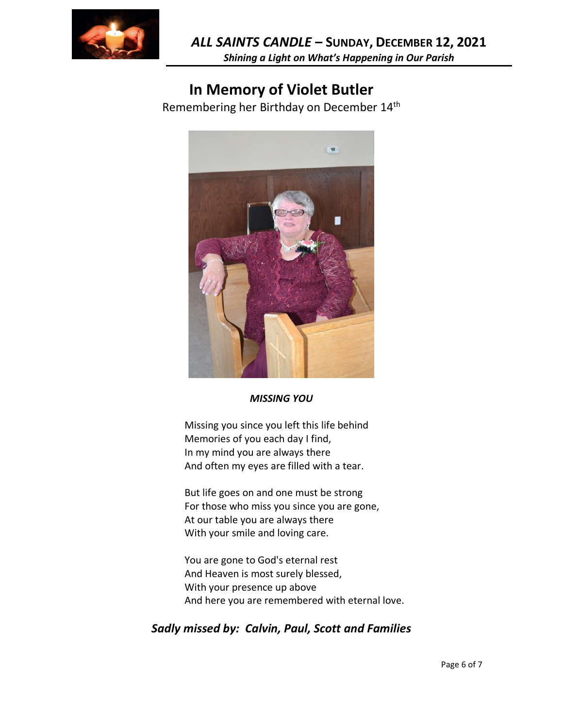

**In Memory of Violet Butler**

Remembering her Birthday on December 14th



#### *MISSING YOU*

Missing you since you left this life behind Memories of you each day I find, In my mind you are always there And often my eyes are filled with a tear.

But life goes on and one must be strong For those who miss you since you are gone, At our table you are always there With your smile and loving care.

You are gone to God's eternal rest And Heaven is most surely blessed, With your presence up above And here you are remembered with eternal love.

## *Sadly missed by: Calvin, Paul, Scott and Families*